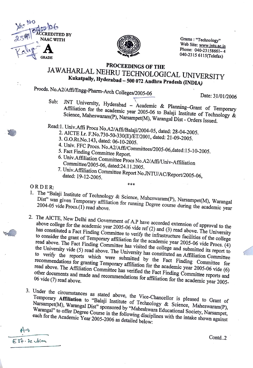



 $Grams: "Technology"$ Web Site: www.jntu.ac.in Phone: 040-23158661-4 040-2315 6115(Telefax)

## **PROCEEDINGS OF THE**  JAW AHARLAL NEHRU TECHNOLOGICAL UNIVERSITY **Kukatpally, Hyderabad** - **500 072 Andhra Pradesh (INDIA)**

Procds. No.A2/Affi/Engg-Pharm-Arch Colleges/2005-06

Date: 31/01/2006

- Sub: JNT University, Hyderabad Academic & Planning-Grant of Temporary Affiliation for the academic year 2005-06 to Balaji Institute of Technology  $\dot{\alpha}$ Science, Maheswaram(P), Narsampet(M), Warangal Dist- Orders Issued.
- Read:1. Univ.Affi Procs No.A2/Affi/Balaji/2004-05, dated: 28-04-2005.
	- 2. AICTE Lr. F.No.730-50-330(E)/ET/200I, dated: 21-09-2005.
	- 3. G.O.Rt.No.143, dated: 06-10-2005.
	- 4. Univ. FFC Procs. No.A2/Affi/Committees/2005-06,dated:15-10-2005.<br>5. Fact Finding Committee Report.
	-
	- 6. Univ.Affiliation Committee Procs No.A2/Affi/Univ-Affiliation Committee/2005-06, dated:24.11.2005.
	- 7. Univ.Affiliation Committee Report No.JNTU/AC/Report/2005-06, dated: 19-12-2005. \*\*\*

ORDER:

-0

I. The "Balaji Institute of Technology & Science, Maheswaram(P), Narsampet(M), Warangal Dist" was given Temporary affiliation for running Degree course during the academic year

- 2. The AICTE, New Delhi and Government of A.P have accorded extension of approval to the above college for the academic year 2005-06 vide ref (2) and (3) read above. The University has constituted a Fact Finding Committee to verify the infrastructure facilities of the college to consider the grant of Temporary affiliation for the academic year 2005-06 vide Procs. (4) read above. The Fact Finding Committee has visited the college and submitted its report to the University vide (5) read above. The University has constituted an Affiliation Committee to verify the reports which were submitted by the Fact Finding Committee for recommendations for granting Temporary affiliation for the academic year 2005-06 vide (6) read above. The Affiliation Committee has verified the Fact Finding Committee reports and other documents and made and recommendations for affiliation for the academic year 2005-<br>other documents and made and recommendations for affiliation for the academic year 2005-
- 3. Under the circumstances as stated above, the Vice-Chancellor is pleased to Grant of Temporary **Affiliation** to "Balaji Institute of Technology & Science, Maheswaram(P), Narsampet(M), Warangal Dist" sponsored by "Maheshwara Educational Society, Narsampet, Warangal" to offer Degree Course in the following disciplines with the intake shown against each for the Academic Year 2005-2006 as detailed below:

 $E81.82$   $dim$